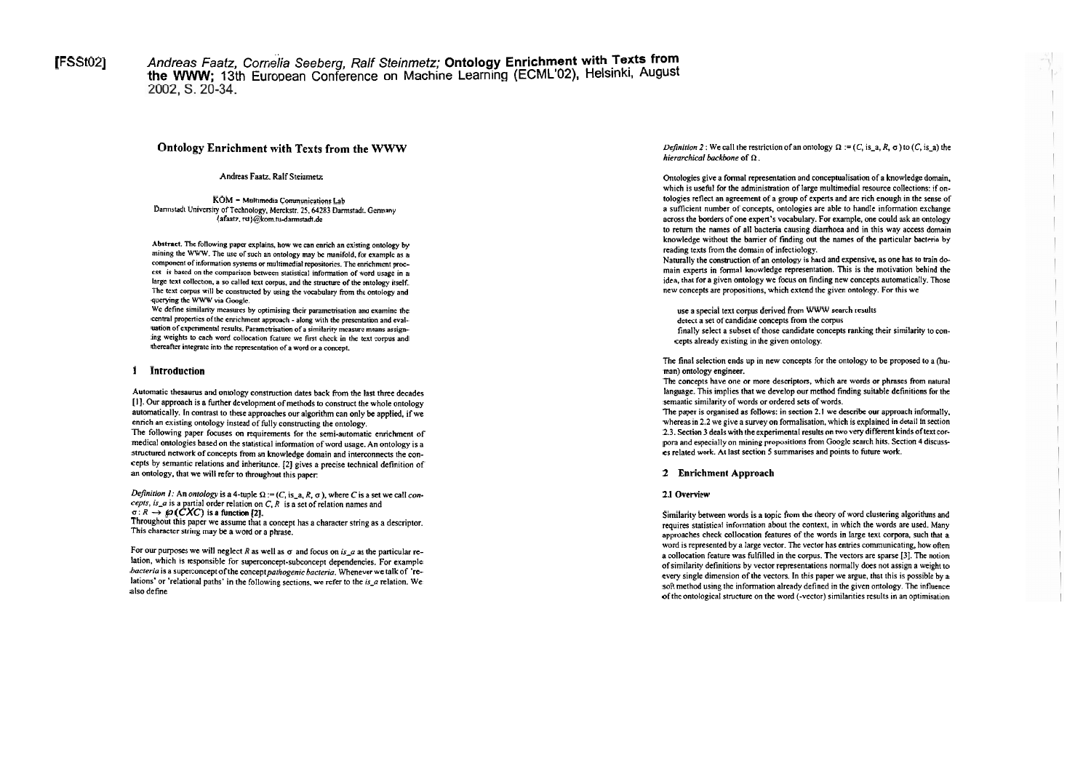[FSSt02] Andreas Faatz, Cornelia Seeberg, Ralf Steinmetz; Ontology Enrichment with Texts from the WWW; 13th European Conference on Machine Learning (ECML'02), Helsinki, August 2002, S. 20-34.

# **Ontology Enrichment with Texts from the WWW**

Andreas **Faatz.** Ralf Steinmetz

**KOM** - Multimedia Communications Lab Dannstadt Univcnity of Technology. Merckstr. **25.64283** Damrtadi. Gemany {afaatz. rsi)@kom.ni-darmnadt.de

Abstract. The following paper explains, how we can enrich an existing ontology by mining the WWW. The usc of such an ontology **may bc** manifold. fw examplc as a component of information systems or multimedial repositories. The enrichment proccss is bascd on ihe wmparison **bctwcen** statistical infomution of word usagc in **a**  large text collection, a so called text corpus, and the structure of the ontology itself. The text corpus will be constructed by using the vocabulary from the ontology and querying the WWW via Google.

We define similarity measures by optimising their parametrisation and examine the central properties of the enrichment approach - along with the presentation and evaluation of experimental results. Parametrisation of a similarity measure means assigning weights to each word collocation fcature we first check in the text corpus and thereafter integrate into the representation of a word or a concept.

## **1 Introduction**

Automatic thesaurus and ontology construction dates back from the last three decades [1]. Our approach is a further development of methods to construct the whole ontology automatically. In contrast to these approaches our algorithm can only be applied, if we enrich an existing ontology instead of fully constructing the ontology. The following paper focuses on requirements for the semi-automatic enrichment of medical ontologies based on the statistical information of word usage. An ontology is a structured network of concepts from an knowledge domain and interconnects the concepts by semantic relations and inheritance. **[2]** gives a precise technical definition of an ontology, that we will refer to throughout this paper:

Definition 1: An ontology is a 4-tuple  $\Omega$  := (C, is\_a, R,  $\sigma$ ), where C is a set we call con**cepis, is-a** is a partial order relation on C, R is a set of relation names and  $\sigma: R \to \wp(\mathcal{C} \mathcal{X} \mathcal{C})$  is a function [2].

Throughout this paper we assume that a concept has a character string as a descriptor. This character string may be a word or a phrase.

For our purposes we will neglect R as well as  $\sigma$  and focus on *is*<sub>-c</sub> as the particular relation, which is responsible for superconcept-subconcept dependencies. For example bacteria is a superconcept of the concept pathogenic bacteria. Whenever we talk of 'relations' or 'relational paths' in the following sections, we refer to the *is\_a* relation. We also define

*Definition 2* : We call the restriction of an ontology  $\Omega$  := (C, is\_a, R,  $\sigma$ ) to (C, is\_a) the **hierarchical backbone** of **R** .

Ontologies give a formal representation and conceptualisation of a knowledge domain, which is useful for the administration of large multimedial resource collections: if ontologies refiect an agreement of a group of experis and are rich enough in the sense of a sufficient number of concepts, ontologies are able to handle information exchange across the borders of one expert's vocabulary. For example, one could ask an ontology 10 retum the names of all bacteria causing diarrhoea and in this way access domain knowledge without the barrier of finding out the names of the panicular bactena by reading texts from the domain of infectiology.

Naturally the construction of an ontology is hard and expensive, as one has to train domain experts in formal knowledge representation. This is the motivation behind the idea, that for a given ontology we focus on finding new concepts automatically. Those new concepts are propositions, which extend the given ontology. For this we

use a Special text corpus derived from WWW search results

detect a set of candidate concepts from the corpus

finally select a subset of those candidate concepts ranking their similarity to concepts already existing in the given ontology.

The final selection ends up in new concepts for the ontology to be proposed to a  $\delta u$ man) ontology engineer.

The concepts have one or more descriptors, which are words or phrases from natural language. This implies that we develop our method finding suitable definitions for the semantic similarity of words or ordered sets of words.

The paper is organised as follows: in section 2.1 we describe our approach informally. whereas in 2.2 we give a survey on formalisation, which is explained in detail in section 2.3. Section 3 deals with the experimental results on two very different kinds of text corpora and especially on mining propositions from Google search hits. Section 4 discusses related work. At last section 5 summarises and points to future work.

## **2 Ennchment Approach**

## **2.1 Overview**

Similarity between words is a topic from the theory of word clustering algorithms and requires statistical information about the context, in which the words are used. Many approaches check collocation features of the words in large text corpora, such that a word is represented by a large vector. The vector has entries communicating, how often a collocation feature was fulfilled in the corpus. The vecton are sparse **[3].** The notion of similarity definitions by vector representations normally does not assign a weight to every single dimension of the vectors. In this paper we argue, that this is possible by a soft method using the information already defined in the given ontology. The influence of the ontological stmcture on the word (-vector) similanties results in an optimisation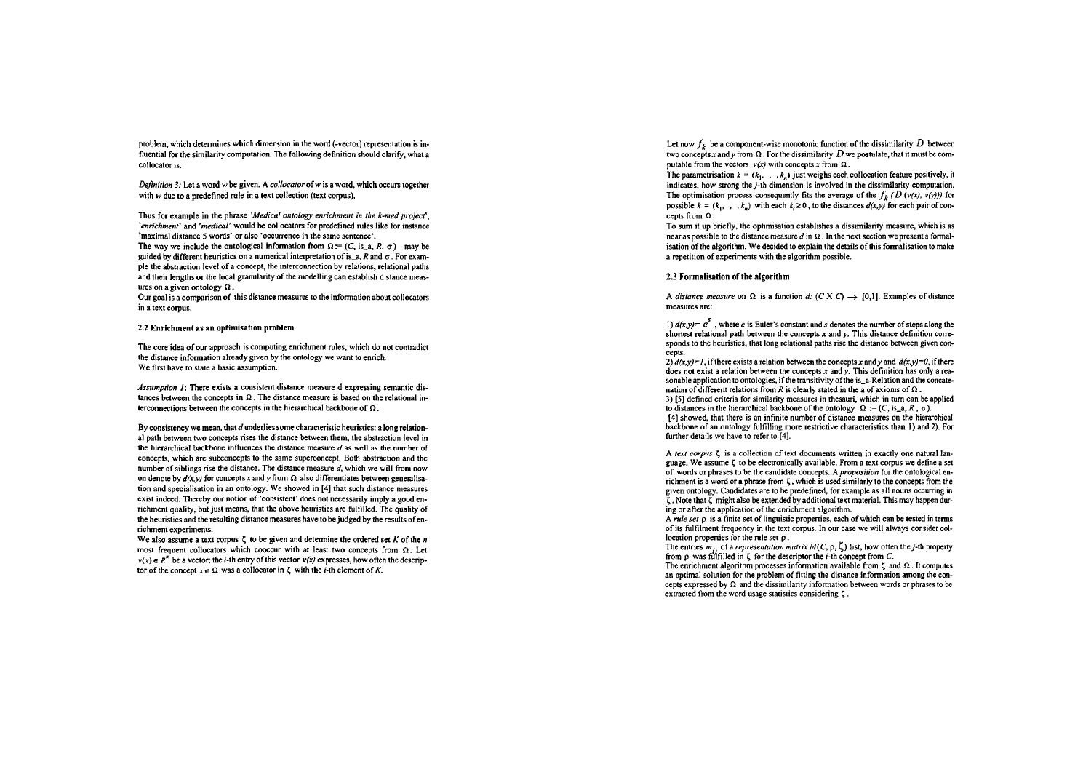problern, which determines which dimension in the word (-vector) representation is influmtial for the similarity computation. The following definition should clarify, what a collocator is.

Definition 3: Let a word w be given. A *collocator* of w is a word, which occurs together with *w* due to a predefined rule in a text collection (text corpus).

Thus for example in the phrase 'Medical ontology enrichment in the k-med project', 'enrichment' and 'medical' would be collocators for predefined rules like for instance 'maximal distance 5 words' or also 'occurrence in the same sentence'.

The way we include the ontological information from  $\Omega$  := (C, is\_a, R,  $\sigma$ ) may be guided by different heuristics on a numerical interpretation of is-a, R and **a.** For example the abstraction level of a concept, the interconnection by relations, relational paths and their lengths or the local granularity of the modelling can establish distance measures on a given ontology **R** .

Our goal is a comparison of this distance measures to the information about collocators in a text corpus.

## 2.2 Enriehment as an optimisation problem

The core idea of our approach is computing enrichment rules, which do not contradict the distance information already given by the ontology we want to enrich. We first have to state a basic assumption.

Assumption  $I$ : There exists a consistent distance measure d expressing semantic distances between the concepts in  $\Omega$ . The distance measure is based on the relational interconnections between the concepts in the hierarchical backbone of  $\Omega$ .

By consistency we mean, that  $d$  underlies some characteristic heuristics: a long relational path between two concepts rises the distance between them, the abstraction level in the hierarchical backbone influences the distance measure das well **as** the number of concepts, which are subconcepts to the same superconcept. Both abstraction and the number of siblings rise the distance. The distance measure  $d$ , which we will from now on denote by  $d(x, y)$  for concepts x and y from  $\Omega$  also differentiates between generalisation and specialisation in an ontology. We showed in **[4]** that such distance measures exist indeed. Thereby our notion of 'consistent' does not necessarily imply a good enrichment quality, but just means, that the above heuristics are hlfilled. The quality of the heuristics and the resulting distance measures have to **be** judged by the results ofenrichment experiments.

We also assume a text corpus  $\zeta$  to be given and determine the ordered set K of the n most frequent collocators which cooccur with at least two concepts from  $\Omega$ . Let  $v(x) \in R^n$  be a vector; the *i*-th entry of this vector  $v(x)$  expresses, how often the descriptor of the concept  $x \in \Omega$  was a collocator in  $\zeta$  with the *i*-th element of K.

Let now  $f_k$  be a component-wise monotonic function of the dissimilarity  $D$  between two concepts x and v from  $\Omega$ . For the dissimilarity D we postulate, that it must be computable from the vectors  $v(x)$  with concepts x from  $\Omega$ .

The parametrisation  $k = (k_1, \ldots, k_n)$  just weighs each collocation feature positively, it indicates. how strong the j-th dimension is involved in the dissimilarity computation. The optimisation process consequently fits the average of the  $f_k$  (D ( $v(x)$ ,  $v(y)$ )) for possible  $k = (k_1, \ldots, k_n)$  with each  $k_i \ge 0$ , to the distances  $d(x, y)$  for each pair of concepts from  $\Omega$ .

To sum it up briefly. the optimisation establishes a dissimilarity measure, which is **as**  near as possible to the distance measure  $d$  in  $\Omega$ . In the next section we present a formalisation of the algorithm. We decided to explain the details of this formalisation to make a repetition of experiments with the algorithm possible.

#### 2.3 Formalisation of the algorithm

A distance measure on  $\Omega$  is a function d: (C X C)  $\rightarrow$  [0,1]. Examples of distance measures are:

I)  $d(x, y) = e^5$ , where e is Euler's constant and *s* denotes the number of steps along the shortest relational path between the concepts  $x$  and  $y$ . This distance definition corresponds to the heuristics, that long relational paths rise the distance between given concepts.

2)  $d(x, y) = 1$ , if there exists a relation between the concepts x and y and  $d(x, y) = 0$  if there does not exist a relation between the concepts x and *y*. This definition has only a reasonable application to ontologies, if the transitivity of the is a-Relation and the concatenation of different relations from R is clearly stated in the a of axioms of  $\Omega$ . 3) **[SI** defined criteria for similarity measures in thesauri, which in turn can be applied to distances in the hierarchical backbone of the ontology  $\Omega := (C, \text{is}_a, R, \sigma)$ . **[4]** showed, that there is an infinite number of distance measures on the hierarchical backbone of an ontology hlfilling more restrictive characteristics than I) and 2). For funher details we have to refer to **[4].** 

A text corpus  $\zeta$  is a collection of text documents written in exactly one natural language. We assume *6* to be elecuonically available. From a text corpus we define a sei of words or phrases to be the candidate concepts. A *proposition* for the ontological enricliment is a word or a phrasc from **C,** which is used similarly to the concepts from the given ontology. Candidates are to be predefined, for example as all nouns occurring in **5.** Note that **5** might also be extended by additional text material. This may happen during or after the application of the enrichment algorithm.

**A** mle Set **p** is a finite set of linguistic propenies, each of which can **be** tested in terms of its fulfilment frequency in the text corpus. In our case we will always consider collocation properties for the rule set  $\rho$ .

The entries  $m_i$ , of a *representation matrix M(C, p,*  $\zeta$ *)* list, how often the *j*-th property from  $\rho$  was fulfilled in  $\zeta$  for the descriptor the *i*-th concept from  $C$ .

The enrichment algorithm processes information available from  $\zeta$  and  $\Omega$ . It computes an optimal solution for the problem of fitting the distance information among the concepts expressed by  $\Omega$  and the dissimilarity information between words or phrases to be extracted fmm the word usage statistics considering **5.**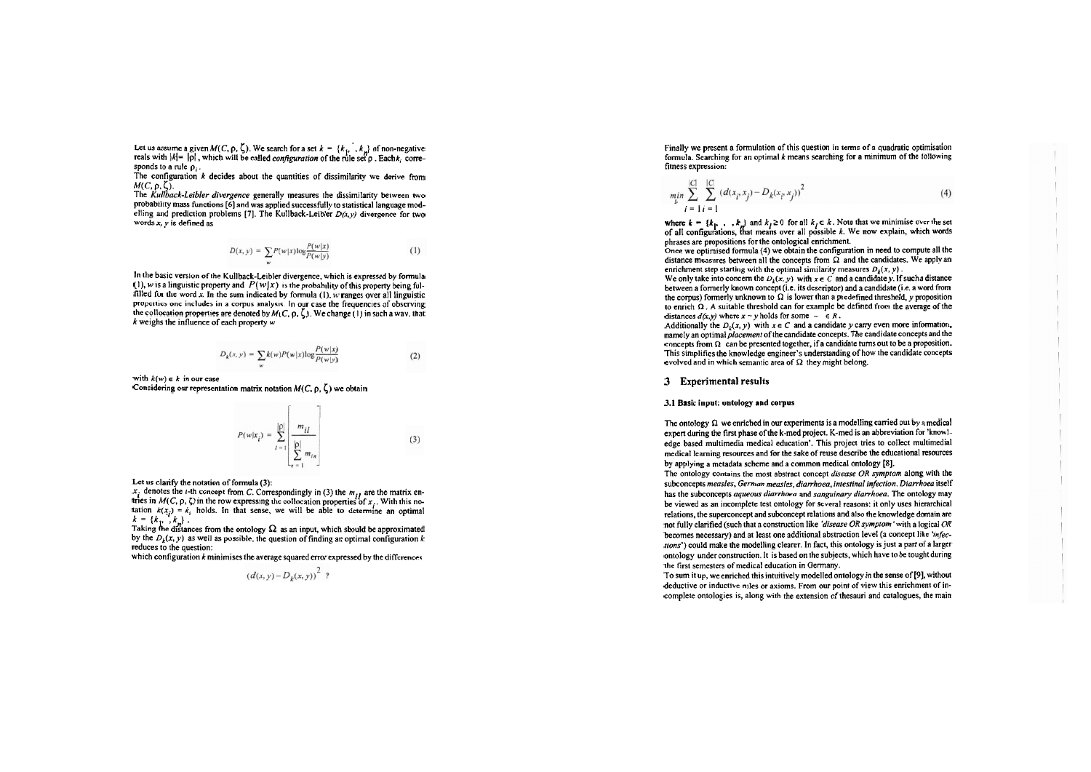Let us assume a given  $M(C, \rho, \zeta)$ . We search for a set  $k = \{k_1, \ldots, k_m\}$  of non-negative reals with  $|k| = |p|$ , which will be called *configuration* of the rule set p. Eachk. corresponds to a rule  $\rho_i$ .

The configuration  $k$  decides about the quantities of dissimilarity we derive from

M(C, p, ζ,).<br>The *Kullback-Leibler divergence g*enerally measures the dissimilarity between two<br>probability mass functions [6] and was applied successfully to statistical language modelling and prediction problems [7]. The Kullback-Leibler  $D(x, y)$  divergence for two words  $x, y$  is defined as

$$
D(x, y) = \sum P(w|x) \log \frac{P(w|x)}{P(w|y)} \tag{1}
$$

In the basic venion of the Kullback-Leibler divergence, which is expressed by fonnula  $(1)$ , w is a linguistic property and  $P(w|x)$  is the probability of this property being fulfilled for the word  $x$ . In the sum indicated by formula (1),  $\hat{w}$  ranges over all linguistic properties one includes in a corpus analysis. In our case the frequencies of observing the collocation properties are denoted by  $M(\mathcal{C}, \rho, \zeta)$ . We change (1) in such a way. that  $k$  weighs the influence of each property w

$$
D_k(x, y) = \sum_{w} k(w) P(w|x) \log \frac{P(w|x)}{P(w|y)}
$$
(2)

with  $k(w) \in k$  in our case

Considering our representation matrix notation  $M(C, \rho, \zeta)$  we obtain

$$
P(w|x_i) = \sum_{l=1}^{|p|} \left[ \frac{m_{il}}{\sum_{n=1}^{|p|} m_{in}} \right]
$$
 (3)

Let us ciarify ihe notation of formula (3):

 $x_i$  denotes the *i*-th concept from *C*. Correspondingly in (3) the  $m_{ij}$  are the matrix en-<br>tries in  $M(C, \rho, \zeta)$  in the row expressing the collocation properties of  $x_i$ . With this no-<br>tation  $k(x_i) = k_i$  holds. In that

by the  $D_k(x, y)$  as well as possible, the question of finding an optimal configuration k reduces to the question:

which configuration  $k$  minimises the average squared error expressed by the differences

$$
(d(x, y) - D_k(x, y))^2 ?
$$

Finally we present a formulation of this question in terms of a quadratic optimisation formula. Searching for an optimal  $k$  means searching for a minimum of the following fitness expression:

$$
\min_{k} \sum_{j=1}^{|C|} \sum_{i=1}^{|C|} (d(x_i, x_j) - D_k(x_i, x_j))^2
$$
\n(4)

where  $k = \{k_1, \ldots, k_n\}$  and  $k_j \ge 0$  for all  $k_j \in k$ . Note that we minimise over the set of all configurations, that means over all possible *k*. We now explain, which words phrases are propositions for the ontological enrichment.

Once we optimised fonnula (4) we obtain the configuration in need to compub all the distance measures between all the concepts from  $\Omega$  and the candidates. We apply an enrichment step starting with the optimal similarity measures  $D_k(x, y)$ .

We only take into concern the  $D_k(x, y)$  with  $x \in C$  and a candidate y. If such a distance between a formerly known concept (i.e. its descriptor) and a candidate (i.e. a word from the corpus) formerly unknown to  $\Omega$  is lower than a predefined threshold, y proposition to enrich  $\Omega$ . A suitable threshold can for example be defined from the average of the distances  $d(x, y)$  where  $x \sim y$  holds for some  $\sim \in R$ .

Additionally the  $D_k(x, y)$  with  $x \in C$  and a candidate y carry even more information, namely an optimal *placement* of the candidate concepts. The candidate concepts and the concepts from  $\Omega$  can be presented together, if a candidate turns out to be a proposition. This simplifies the knowledge engineer's understanding of how the candidate concepts evolved and in which semantic area of **R** they might belong.

## **3 Experimental results**

#### 3.1 Basic input: ontology and corpus

The ontology  $\Omega$  we enriched in our experiments is a modelling carried out by a medical expert during the first phase of the k-med project. K-med is an abbreviation for 'knowledge based multimedia medical education'. This project tries to collect multimedial medical lcaming resources and for the sake of reuse describe the educational resources by applying a metadata scheme and a common medical ontology **(81.** 

The ontology contains the most abstract concept *disease OR symptom* along with the subconcepts measles, German measles, diarrhoea. intestinal infection. Diarrhoea itself has the subconcepts *aqueous diarrhoea* and *sanguinary diarrhoea*. The ontology may **be** viewed as an incomplete test ontology for several reasons: it only uses hierarchical relations. the superconcept and subconcept relations and also ihe knowledge domain are not fully clarified (such that a construction like 'disease  $OR$  symptom' with a logical  $OR$ becomes necessary) and at least one additional abstraction level (a concept like 'infecrions') could make the modelling clearer. In fact, this ontology is just a part of a larger ontology under construction. It is based on the subjects, which have to be tought during the first semesters of medical education in Germany.

To sum it up, weenriched this intuitively modelled ontology in the sense of **[9],** without deductive or inductive mles or axioms. From our point of view this cnrichment of incomplete ontolopies is, along with the extension of thesauri and catalogues, the main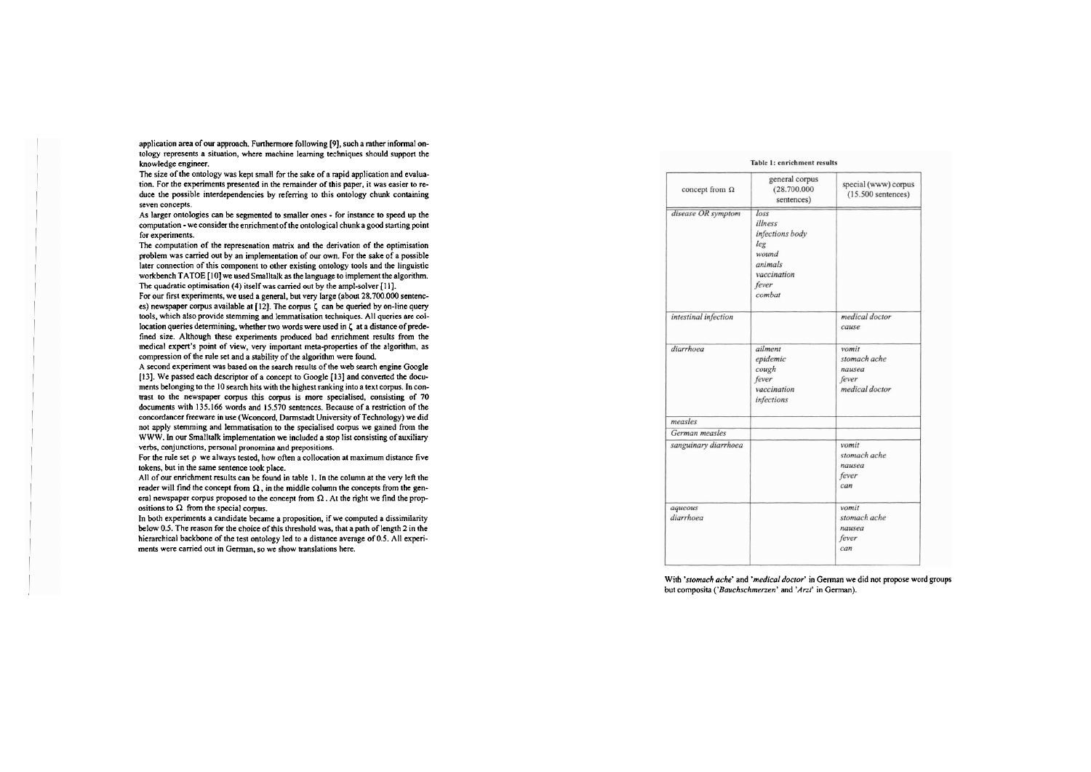application area of our approach. Funhemore following [9], such a rather informal ontology represents a situation, where machine learning techniques should support the knowledge mgineer.

The size of the ontology was kept small for the sake of a rapid application and evaluation. For the experiments presented in the remainder of this paper, it was easier to reduce the possible interdependencies by referring to this ontology chunk containing seven concepts.

As larger ontologies can be segmented to smaller ones - for instance to speed up the computation - we consider the enrichment of the ontological chunk a good starting point for experiments.

The computation of the represenation matrix and the derivation of the optimisation problem was carried out by an implementation of our own. For the sake of a possible later connection of this component to other existing ontology tools and the linguistic workbench TATOE [I01 we used Smalltalk **as** the language to implement the algorithm. The quadratic optimisation (4) itself was carried out by the ampl-solver [11].

For our first experiments, we used a general, but very large (about 28.700.000 sentences) newspaper corpus available at  $[12]$ . The corpus  $\zeta$  can be queried by on-line query tools, which also provide stemming and lemmatisation techniques. All queries are collocation queries determining, whether two words were used in **5** at a distance of predefined size. Although these experiments produced bad enrichment results from the medical expert's point of view, very important meta-properties of the algorithm, as compression of the nile set and a stability of the algorithm were found.

A second expcriment was based on the search results of the web search engine Google [13]. We passed each descriptor of a concept to Google [13] and converted the documents belonging to the 10 search hits with the highest ranking into a text corpus. In contrast to the newspaper corpus this corpus is more specialised, consisting of 70 documents with 135.166 words and 15.570 sentences. Because of a restriction of the concordancer freeware in use (Wconcord. Darmstadt University of Technology) we did not apply stemming and lemmatisation to the specialised corpus we gained from the WWW. In our Smalltalk implementation **we** included a stop list consisting of auxiliary verbs, conjunctions, personal pronomina and prepositions.

For the rule set  $\rho$  we always tested, how often a collocation at maximum distance five tokens, but in the Same sentence took place.

All of our enrichment results can be found in table 1. In the column at the very left the reader will find the concept from  $\Omega$ , in the middle column the concepts from the general newspaper corpus proposed to the concept from **Q** . At the right we find the propositions to  $\Omega$  from the special corpus.

In both experiments a candidate became a proposition, if we computed a dissimilarity below 0.5. The reason for the choice of this threshold was, that a path of length 2 in the hierarchical backbone of the test ontology led to a distance average of 0.5. All experiments were camed out in German, so we show translations here.

## Table 1: enrichment results

| general corpus<br>(28.700.000)<br>sentences)                                                    | special (www) corpus<br>$(15.500$ sentences)               |
|-------------------------------------------------------------------------------------------------|------------------------------------------------------------|
| loss<br>illness<br>infections body<br>leg<br>wound<br>animals<br>vaccination<br>fever<br>combat |                                                            |
|                                                                                                 | medical doctor<br>cause                                    |
| ailment<br>epidemic<br>cough<br>fever<br>vaccination<br>infections                              | vomit<br>stomach ache<br>nausea<br>fever<br>medical doctor |
|                                                                                                 |                                                            |
|                                                                                                 |                                                            |
|                                                                                                 | vomit<br>stomach ache<br>nausea<br>fever<br>can            |
|                                                                                                 | vomit<br>stomach ache<br>nausea<br>fever<br>can            |
|                                                                                                 |                                                            |

With 'stomach ache' and 'medical doctor' in German we did not propose word groups but composita ('Bauchschmerzen' and 'Arzt' in German).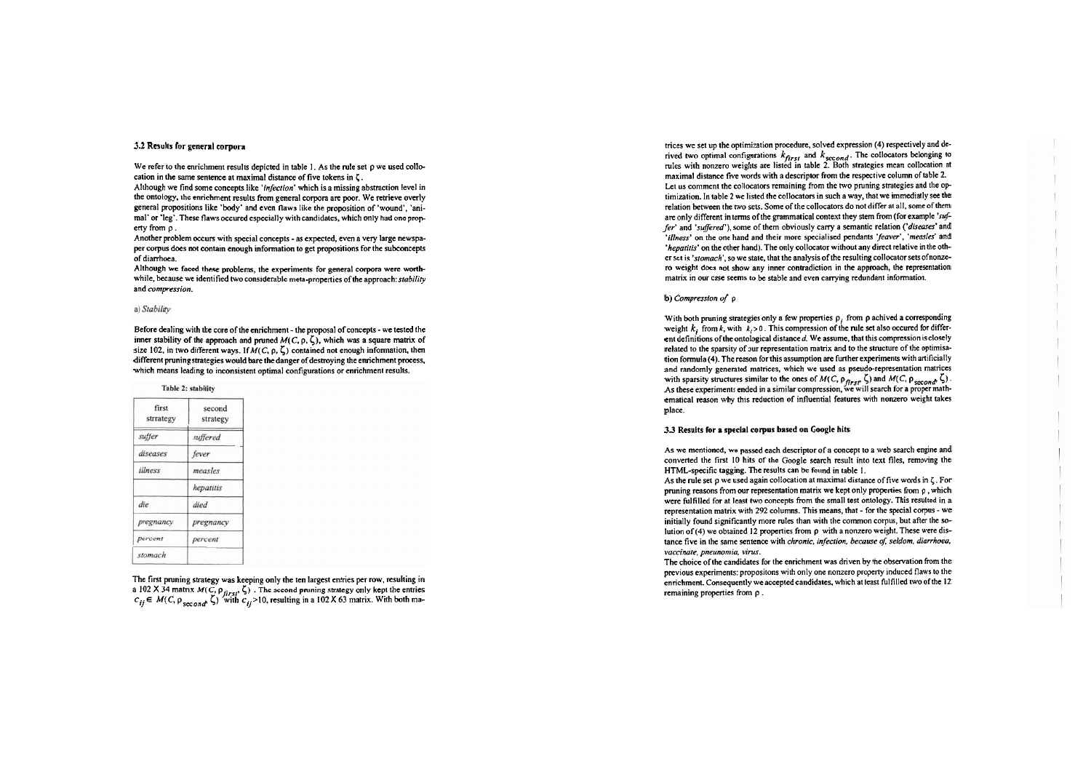#### 3.2 Results for general corpora

We refer to the enrichment results depicted in table 1. As the rule set  $\rho$  we used collocation in the Same sentence at maximal distance of five tokens in **5.** 

Although we find some concepts like 'infection' which is a missing abstraction level in the ontology, the enrichment results from general corpora are poor. We retrieve overly general propositions like 'body' and even flaws like the proposition of 'wound', 'animal' or 'leg'. These flaws occured especially with candidates, which only had one property from  $\rho$ .

Another problem occurs with special concepts - as expected, even a very large newspaper corpus does not contain enough information to get propositions for the subconcepts of diarrhoea.

Although we faced these problems, the experiments for general corpora were worthwhile, because we identified two considerable meta-properties of the approach: stability and compression.

#### a) Stability

Before dealing with the core of the enrichment - the proposal of concepts - we tested the inner stability of the approach and pruned  $M(C, \rho, \zeta)$ , which was a square matrix of size 102, in two different ways. If  $M(C, \rho, \zeta)$  contained not enough information, then different pruning strategies would bare the danger of destroying the enrichment process, which means leading to inconsistent optimal configurations or enrichment results.

#### Table 2: stability

| first<br>strrategy | second<br>strategy |
|--------------------|--------------------|
| suffer             | suffered           |
| diseases           | fever              |
| illness            | measles            |
|                    | hepatitis          |
| die                | died               |
| pregnancy          | pregnancy          |
| percent            | percent            |
| stomach            |                    |

The first pruning strategy was keeping only the ten largest entries per row, resulting in a 102 **X** 34 matrix  $M(C, p_{first}, \zeta)$ . The second pruning strategy only kept the entries  $c_{ij} \in M(C, p_{first}, \zeta)$  with  $c_{ij} > 10$ , resulting in a 102 **X** 63 matrix. With both matrices we set up the optimization procedure, solved expression (4) respectively and derived two optimal configurations  $k_{first}$  and  $k_{second}$ . The collocators belonging to rules with nonzero weights are listed in table 2. Both strategies mean collocation at maximal distance five words with a descriptor from the respective column of table 2. Let us comment the collocators remaining from the two pruning strategies and the optimization. In table 2 we listed the collocators in such a way, that we immediatly see the relation between the two sets. Some of the collocators do not differ at all, some of them are only different in terms of the grammatical context they stem from (for example 'suffer' and 'suffered'), some of them obviously carry a semantic relation ('diseases' and 'illness' on the one hand and their more specialised pendants 'feaver', 'measles' and 'hepatiris' on the other hand). The only collocator without any direct relative inthe other set is 'stomach', so we state, that the analysis of the resulting collocator sets of nonzero weight does not show any inner contradiction in the approach, the representation matrix in our case seems to be stable and even carrying redundant information.

#### b) Compression **of p**

With both pruning strategies only a few properties  $\rho_i$  from  $\rho$  achived a corresponding weight  $k_i$  from  $k$ , with  $k_i > 0$ . This compression of the rule set also occured for different definitions of the ontological distance d. We assume, that this compression is closely related to the sparsity of our representation matrix and to the structure of the optimisation formula (4). The reason for this assumption are further experiments with artificially and randomly generated matrices, which we used as pseudo-representation matrices with sparsity structures similar to the ones of  $M(C, p_{first}, \zeta)$  and  $M(C, p_{second}, \zeta)$ . As these experiments ended in a similar compression, we will search for a proper mathematical reason why this reduction of influential features with nonzero weight takes place.

#### 3.3 Results for a special corpus based on Google hits

As **we** mentioned, wc passed each descriptor of a concept to a web search engine and converted the first 10 hits of the Google search result into text files, removing the HTML-specific tagging. The results can be found in table I.

As the mle sei p we used again collocation at maximal distance of five words in **5.** For pruning reasons from our representation matrix we kept only properties from  $\rho$ , which were fulfilled for at least two concepts from the small test ontology. This resulted in a representation matrix with 292 columns. This means, that - for the special corpus - we initially found significantly more mles than wiih the common corpus, but after the solution of (4) we obtained 12 properties from  $\rho$  with a nonzero weight. These were distance five in the same sentence with chronic, infection, because of, seldom, diarrhoea, vaccinate, pneunomia, virus.

The choice of the candidates for the enrichment was driven by the observation from the previous experiments: propositons with only one nonzero propeny induced flaws to the enrichment. Consequently we accepted candidates, which at least fulfilled two of the 12 remaining properties from p .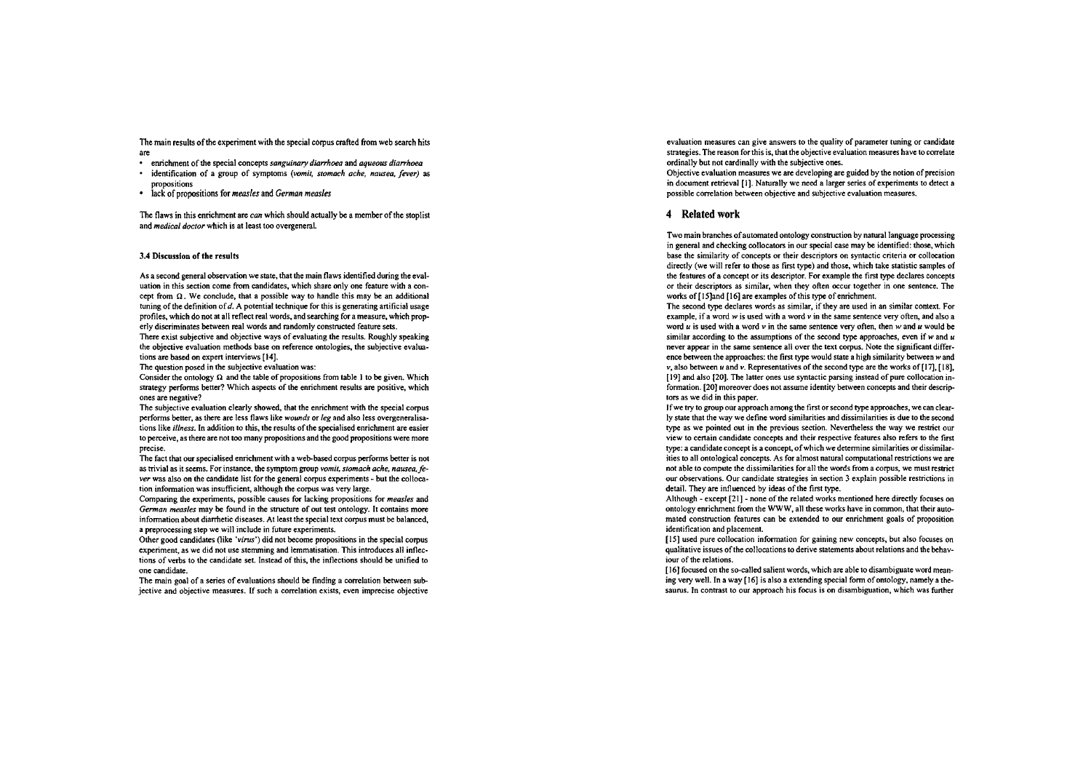The main results of the experiment with the special corpus crafted from web search hits are

- enrichment of the special concepts *sanguinary diarrhoea* and *aqueous digrrhoea*
- identification of a group of symptoms (vomit, stomach ache, nausea, fever) as propositions
- lack of propositions for **mensles** and **Cerman measles**

The flaws in this enrichment are **con** which should actually be a member of the stoplist and **medical doctor** which is at least too overgeneral

#### 3.4 Discussion of the results

As a second general observation we state. that the main flaws identified during the evaluation in this section come from candidates, which share only one feature with a concept from  $\Omega$ . We conclude, that a possible way to handle this may be an additional tuning of the definition of d. A potential technique for this is generating artificial usage profiles, which do not at all reflect real words, and searching for a measure, which prop erly discriminates between real words and randomly constructed feature sets.

There exist subjective and objective ways of evaluating the results. Roughly speaking the objective evaluation methods base on reference ontologies, the subjective evaluations are based on expert interviews [14].

The question posed in the subjective evaluation was:

Consider the ontology  $\Omega$  and the table of propositions from table 1 to be given. Which strategy performs better? Which aspects of the enrichment results are positive, which ones are negative?

The subjective evaluation clearly showed, that the enrichment with the special corpus performs better, as there are less flaws like *wounds* or *leg* and also less overgeneralisations like *illness*. In addition to this, the results of the specialised enrichment are easier to perceive, as there are not too many propositions and the good propositions were more precise.

The fact that our specialised enrichment with a web-based corpus performs better is not as trivial as it seems. For instance, the symptom group *vomit, stomach ache, nausea, fe*ver was also on the candidate list for the general corpus experiments - but the collocation information was insufficient, although the corpus was very large.

Comparing the experiments, possible causes for lacking propositions for *measles* and German measles may be found in the structure of out test ontology. It contains more informationabout diarrhetic diseases. At least the special tcxt corpus must be balanced, a preprocessing step we will include in future experiments.

Other good candidates (like 'virus') did not become propositions in the special corpus experiment, as we did not use stemming and lemmatisation. This introduces all inflections of verbs to the candidate Set. Instead of this, the inflections should be unified to one candidate.

The main goal of a series of evaluations should be finding a correlation between subjective and objective measures. If such a correlation exists, even imprccise objective evaluation measures can give answers to the quality of parameter tuning or candidate strategies. The reason for this is, that the objective evaluation measures have to correlate ordinally but not cardinally with the subjective ones.

Objective evaluation measures we are developing are guided by the notion of precision in document retrieval [1]. Naturally we need a larger series of experiments to detect a possible correlation between objective and subjective evaluation measures.

## **4 Related work**

Two main branches of automated ontology construction by natural language processing in general and checking collocators in our special case may be identified: those, which base the similarity of concepis or their descriptors on syntactic criteria or collocation directly (we will refer to those as first type) and those, which take statistic samples of the features of a concept or its descriptor. For example the first **type** declares concepts or their descriptors as similar, when they often occur together in one sentence. The works of [I Sland [I61 are examples of this **type** of enrichment.

The second **type** declares words as similar, if they are used in an similar context. For example, if a word **W** is used with a word **V** in the same sentence very ofien, and also a word  $u$  is used with a word  $v$  in the same sentence very often, then  $w$  and  $u$  would be similar according to the assumptions of the second type approaches, even if  $w$  and  $u$ never appear in the same sentence all over the text corpus. Note the significant difference between the approaches: the first type would state a high similarity between w and **V,** also between **u** and **V.** Representatives of the second type are the works of [17], [18], [19] and also [20]. The latter ones use syntactic parsing instead of pure collocation information. [20] moreover does not assume identity between concepts and their descriptors as we did in this paper.

If we **hy** to group our approach among the first or second **type** approaches, we can clearly state that the way we define word similarities and dissimilarities is due to the second **type** as we pointed out in the previous section. Neveriheless the way we restrict ow view to certain candidate concepts and their respective features also refers to the first type: a candidate concept is a concept, of which we determine similarities or dissimilarities to all ontological concepts. As for almost natural computational restrictions we are not able to compute the dissimilarities for all the words from a corpus, we must restrict our observations. Our candidate strategies in section 3 explain possible restrictions in detail. They are influenced by ideas of the first type.

Although - except [21] - none of the related works mentioned here directly focuses on ontology enrichment from the WWW, all these works have in common, that their automated construction features can be extended to ow enrichment goals of proposition identification and placement.

[I51 used pure collocation information for gaining new concepts, but also focuses on qualitative issues of the collocations to derive statements about relations and the behaviour of the relations.

[16] focused on the so-called salient words, which are able to disambiguate word meaning very well. In a way [16] is also a extending special form of ontology, namely a thesaurus. In contrast to our approach his focus is on disambiguation, which was further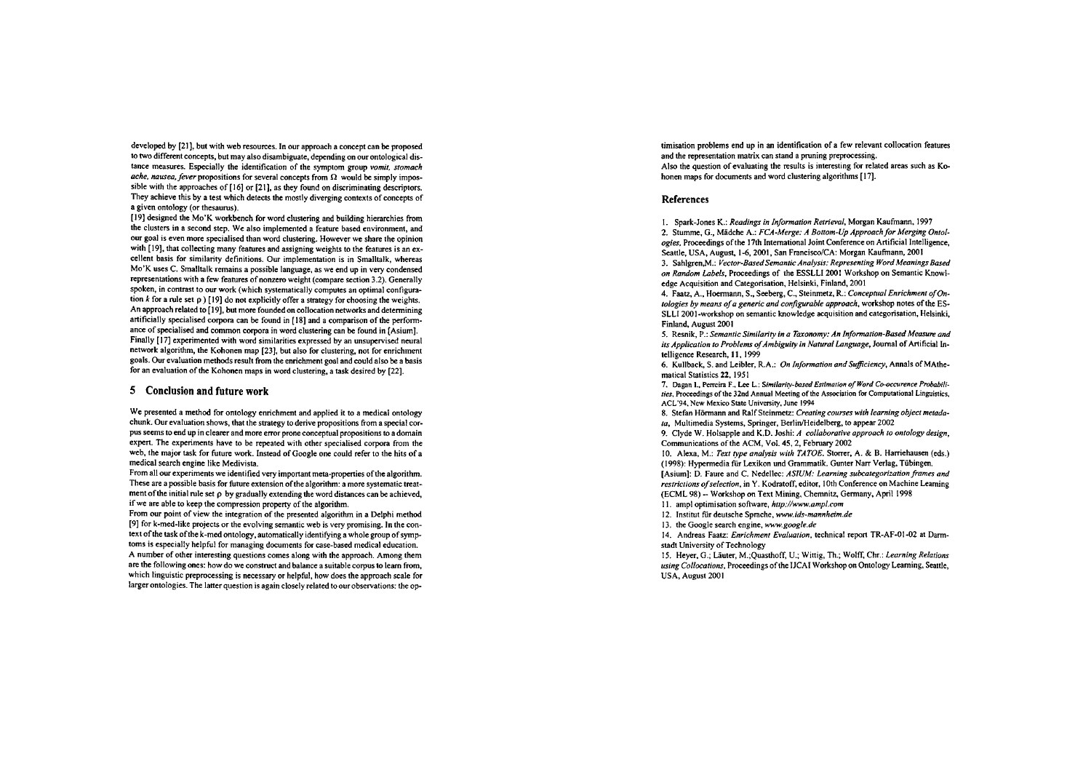developed by [21], but with web resources. In our approach a concept can be proposed to two different concepts, but may also disambiguate, depending on our ontological distance measures. Especially the identification of the symptom group *vomif, sfomach ache, nausea, fever* propositions for several concepts from  $\Omega$  would be simply impossible with the approaches of [16] or [21], as they found on discriminating descriptors. They achieve this by a test which detects the mostly diverging contexts of concepts of a given ontology (or thesaunis).

[I91 designed the Mo'K workbench for word clustering and building hierarchies from the clusters in a second step. We also implemented a feature based environment, and our goal is even more specialised than word clustering. However we share the opinion with [19], that collecting many features and assigning weights to the features is an excellent basis for similarity definitions. Our implementation is in Smalltalk, whereas Mo'K uses C. Smalltalk remains a possible language. as we end up in very condensed representations with a few features of nonzem weight (compare sedion 3.2). Generally spoken, in contrast to our work (which systematically computes an optimal configuration **k** for a rule set **p)** [I91 do not explicitly offer a strategy for choosing the weights. An approach related to [19], but more foundedon collocation networks and determining artificially specialised corpora can be found in [18] and a comparison of the performance of specialised and common corpora in word clustering can be found in [Asium]. Finally [I71 experimented with word similarities expressed by an unsupervised neural network algorithm, the Kohonen map [23]. but also for clustering. not for enrichment goals. Our evaluation methods result from the enrichment goal and could also be a basis for an evaluation of the Kohonen maps in word clustering, a task desired by [22].

## **5 Conclusion end future work**

We presented a method for ontology enrichment and applied it to a medical ontology chunk. Our evaluation shows, that the strategy to derive propositions from a special corpus seems to end up in clearer and more error prone conceptual propositions to a domain expert. The experiments have to be repeated with other specialised corpora from the web, the major task for future work. Instead of Google one could refer to the hits of a medical search engine like Medivista.

From all our experiments we identified very important meta-properties of the algorithm. These are a possible basis for future extension of the algorithm: a more systematic treatment of the initial rule set  $\rho$  by gradually extending the word distances can be achieved. if we are able to keep the compression property of the algorithm.

From our point of view the integration of the presented algorithm in a Delphi method [9] for k-med-like projects or the evolving semantic web is very promising. In the context of the task ofthe k-med ontology. automatically identifying a whole group of symptoms is especially helpful for managing documents for case-based medical education. A number of other interesting questions Comes along with the appmach. Among them are the following ones: how do we construct and balance a suitablecorpus to learn from. which linguistic preprocessing is necessary or helpful, how does the approach scale for larger ontologies. The latter question is again closely related to our observations: the op-

timisation problems end up in an identification of a few relevant collocation features and the representation matrix can stand a pruning preprocessing. Also the question of evaluating the results is interesting for related areas such as Kohonen maps for documents and word clustering algorithms [17].

#### **References**

I. Spark-Jones K.: *Readings in Informafion Refrieval,* Morgan Kaufmann. 1997 2. Stumme, G., Mädche A.: *FCA-Merge: A Bottom-Up Approach for Merging Ontologies.* Proceedings of the 17th International Joint Conference on Anificial Intelligente, Seattle. USA, August, 1-6, 2001, San Francisco/CA: Morgan Kaufmann, 2001

3. Sah1gren.M.: *Vector-BasedSemanfic Analysis: Represenring Word Meanings Based on Random Lobeh.* Proceedings of the ESSLLI 2001 Workshop on Semantic Knowledge Acquisition and Categorisation, Helsinki, Finland. 2001

4. Faatz, A., Hoermann, S., Seeberg, C., Steinmetz, R.: *Conceptual Enrichment of Onfologies by means of a generic and configurable approach, workshop notes of the ES-*SLLI 2001-workshop on semantic knowledge acquisition and categorisation, Helsinki, Finland, August 2001

5. Ranik, P.: *Semanfic Similarily in a Tionomy: An In/ormalion-Based* **Measuw** *and*  its Application to Problems of Ambiguity in Natural Language, Journal of Artificial Intelligence Research, **11.** 1999

6. Kullback, S. and Leibler, R.A.: *On Information and Sufficiency*, Annals of MAthemaiical Statistics 22. 1951

7. Dagan I., Perreira F., Lee L.: Similarity-based Estimation of Word Co-occurence Probabilities. Proceedings of the 32nd Annual Meeting of the Association for Computational Linguistics. ACL'94, New Mexico State University, June 1994

8. Stefan Hörmann and Ralf Steinmetz: *Crearing Courses wifh learningobjecf mefadata*, Multimedia Systems, Springer, Berlin/Heidelberg, to appear 2002

9. Clyde W. Holsapple and K.D. Joshi: *A collaborative approach to ontology design*, Communications of the ACM, Vol. 45,2, Febtuary 2002

10. Alexa, M.: Text type analysis with TATOE. Storrer, A. & B. Harriehausen (eds.) (1998): Hypennedia fur Lexikon und Grammatik. Gunter Narr Verlag. Tübingen. [Asium]: D. Faure and C. Nedellec: *ASIUM: Learning subcategorizofion frames and restrictions of selection, in Y. Kodratoff, editor, 10th Conference on Machine Learning* (ECML 98) -- Workshop on Text Mining, Chemnitz, Germany, April 1998

I I. ampl optimisation sohare, *hftp://www.ampl.com* 

12. Institut für deutsche Sprache. *w.ids-mannheim.de* 

13. the Google search engine. *ww.google.de* 

14. Andreas Faatz: *Enrichmenf Evuluofion,* technical report TR-AF-01-02 at Darmstadt University of Technology

15. Heyer, G.; Lauter, M.;Quasthoff, U.; Winig. Th.; Wolff. Chr.: *Leurning Relations uring Collocafions,* Proceedings of the IJCAI Workshop on Ontology Leaming, Seattle, USA, August 2001